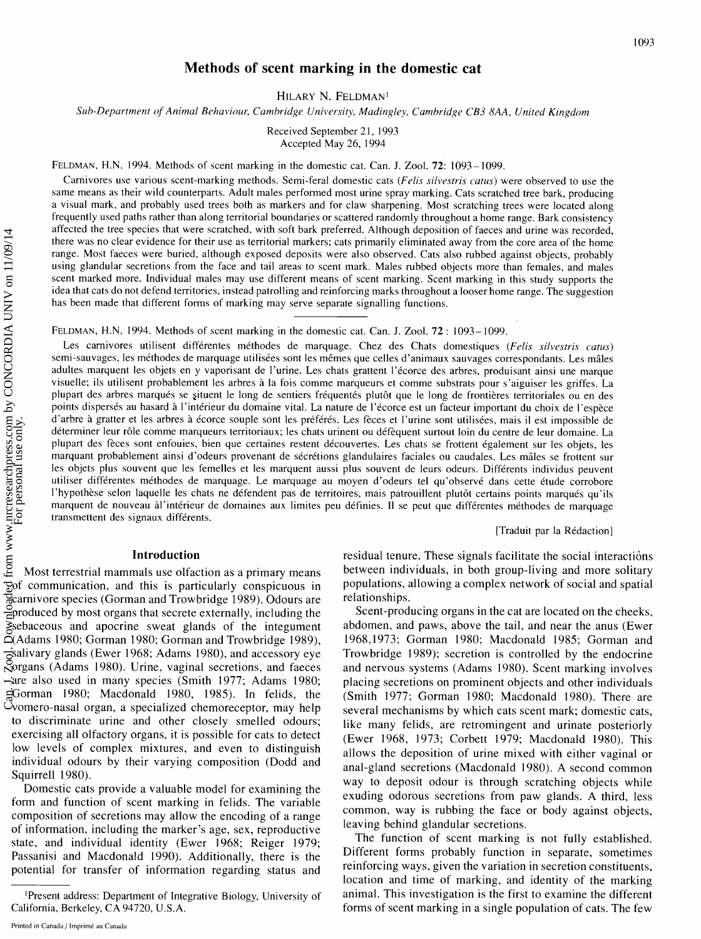# **Methods of scent marking in the domestic cat**

HILARY N. FELDMAN<sup>1</sup>

*Sub-Department of Animal Behaviour, Camhridge University, Madingley, Camhridge CB3 8AA, United Kingdom* 

Received September 21, 1993 Accepted May 26, 1994

FELDMAN, H.N. 1994. Methods of scent marking in the domestic cat. Can. J. Zool. 72: 1093- 1099.

Carnivores use various scent-marking methods. Semi-feral domestic cats *(Felis silvestris catus)* were observed to use the same means as their wild counterparts. Adult males performed most urine spray marking. Cats scratched tree bark, producing a visual mark, and probably used trees both as markers and for claw sharpening. Most scratching trees were located along frequently used paths rather than along territorial boundaries or scattered randomly throughout a home range. Bark consistency affected the tree species that were scratched, with soft bark preferred. Although deposition of faeces and urine was recorded, there was no clear evidence for their use as territorial markers; cats primarily eliminated away from the core area of the home range. Most faeces were buried, although exposed deposits were also observed. Cats also rubbed against objects, probably using glandular secretions from the face and tail areas to scent mark. Males rubbed objects more than females, and males scent marked more. Individual males may use different means of scent marking. Scent marking in this study supports the idea that cats do not defend territories, instead patrolling and reinforcing marks throughout a looser home range. The suggestion has been made that different forms of marking may serve separate signalling functions.

FELDMAN, H.N. 1994. Methods of scent marking in the domestic cat. Can. J. Zool. 72 : 1093-1099.

Les carnivores utilisent différentes méthodes de marquage. Chez des Chats domestiques (Felis silvestris catus) semi-sauvages, les méthodes de marquage utilisées sont les mêmes que celles d'animaux sauvages correspondants. Les mâles adultes marquent les objets en y vaporisant de l'urine. Les chats grattent l'écorce des arbres, produisant ainsi une marque visuelle; ils utilisent probablement les arbres a la fois comme marqueurs et comme substrats pour s'aiguiser les griffes. La plupart des arbres marqués se situent le long de sentiers fréquentés plutôt que le long de frontières territoriales ou en des points dispersés au hasard à l'intérieur du domaine vital. La nature de l'écorce est un facteur important du choix de l'espèce d'arbre à gratter et les arbres à écorce souple sont les préférés. Les fèces et l'urine sont utilisées, mais il est impossible de déterminer leur rôle comme marqueurs territoriaux; les chats urinent ou défèquent surtout loin du centre de leur domaine. La plupart des fèces sont enfouies, bien que certaines restent découvertes. Les chats se frottent également sur les objets, les marquant probablement ainsi d'odeurs provenant de sécrétions glandulaires faciales ou caudales. Les mâles se frottent sur les objets plus souvent que les femelles et les marquent aussi plus souvent de leurs odeurs. Différents individus peuvent utiliser différentes méthodes de marquage. Le marquage au moyen d'odeurs tel qu'observé dans cette étude corrobore l'hypothèse selon laquelle les chats ne défendent pas de territoires, mais patrouillent plutôt certains points marqués qu'ils marquent de nouveau àl'intérieur de domaines aux limites peu définies. Il se peut que différentes méthodes de marquage transmettent des signaux différents.

[Traduit par la Rédaction]

### **Introduction**

Most terrestrial mammals use olfaction as a primary means of communication, and this is particularly conspicuous in carnivore species (Gorman and Trowbridge 1989). Odours are produced by most organs that secrete externally, including the sebaceous and apocrine sweat glands of the integument (Adams 1980; Gorman 1980; Gorman and Trowbridge 1989), salivary glands (Ewer 1968; Adams 1980), and accessory eye organs (Adams 1980). Urine, vaginal secretions, and faeces are also used in many species (Smith 1977; Adams 1980; Gorman 1980; Macdonald 1980, 1985). In felids, the vomero-nasal organ, a specialized chemoreceptor, may help to discriminate urine and other closely smelled odours; exercising all olfactory organs, it is possible for cats to detect low levels of complex mixtures, and even to distinguish individual odours by their varying composition (Dodd and Squirrell 1980).

Domestic cats provide a valuable model for examining the form and function of scent marking in felids. The variable composition of secretions may allow the encoding of a range of information, including the marker's age, sex, reproductive state, and individual identity (Ewer 1968; Reiger 1979; Passanisi and Macdonald 1990). Additionally, there is the potential for transfer of information regarding status and

residual tenure. These signals facilitate the social interactions between individuals, in both group-living and more solitary populations, allowing a complex network of social and spatial relationships.

Scent-producing organs in the cat are located on the cheeks, abdomen, and paws, above the tail, and near the anus (Ewer 1968,1973; Gorman 1980; Macdonald 1985; Gorman and Trowbridge 1989); secretion is controlled by the endocrine and nervous systems (Adams 1980). Scent marking involves placing secretions on prominent objects and other individuals (Smith 1977; Gorman 1980; Macdonald 1980). There are several mechanisms by which cats scent mark; domestic cats, like many felids, are retromingent and urinate posteriorly (Ewer 1968, 1973; Corbett 1979; Macdonald 1980). This allows the deposition of urine mixed with either vaginal or anal-gland secretions (Macdonald 1980). A second common way to deposit odour is through scratching objects while exuding odorous secretions from paw glands. A third, less common, way is rubbing the face or body against objects, leaving behind glandular secretions.

The function of scent marking is not fully established. Different forms probably function in separate, sometimes reinforcing ways, given the variation in secretion constituents, location and time of marking, and identity of the marking animal. This investigation is the first to examine the different forms of scent marking in a single population of cats. The few

IPresent address: Department of Integrative Biology, University of California, Berkeley, CA 94720, U.S.A.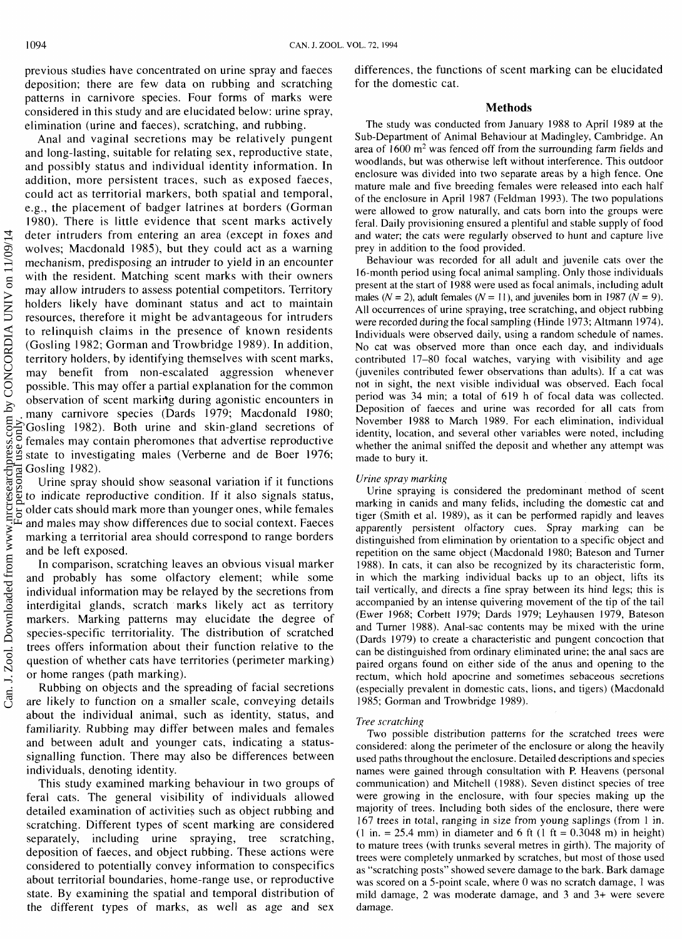previous studies have concentrated on urine spray and faeces deposition; there are few data on rubbing and scratching patterns in carnivore species. Four forms of marks were considered in this study and are elucidated below: urine spray, elimination (urine and faeces), scratching, and rubbing.

Anal and vaginal secretions may be relatively pungent and long-lasting, suitable for relating sex, reproductive state, and possibly status and individual identity information. In addition, more persistent traces, such as exposed faeces, could act as territorial markers, both spatial and temporal, e.g., the placement of badger latrines at borders (Gorman 1980). There is little evidence that scent marks actively deter intruders from entering an area (except in foxes and wolves; Macdonald 1985), but they could act as a warning mechanism, predisposing an intruder to yield in an encounter with the resident. Matching scent marks with their owners may allow intruders to assess potential competitors. Territory holders likely have dominant status and act to maintain resources, therefore it might be advantageous for intruders to relinquish claims in the presence of known residents (Gosling 1982; Gorman and Trowbridge 1989). In addition, territory holders, by identifying themselves with scent marks, may benefit from non-escalated aggression whenever possible. This may offer a partial explanation for the common observation of scent marking during agonistic encounters in many carnivore species (Dards 1979; Macdonald 1980; Gosling 1982). Both urine and skin-gland secretions of females may contain pheromones that advertise reproductive state to investigating males (Verberne and de Boer 1976; Gosling 1982).

Urine spray should show seasonal variation if it functions to indicate reproductive condition. If it also signals status, older cats should mark more than younger ones, while females and males may show differences due to social context. Faeces marking a territorial area should correspond to range borders and be left exposed.

In comparison, scratching leaves an obvious visual marker and probably has some olfactory element; while some individual information may be relayed by the secretions from interdigital glands, scratch marks likely act as territory markers. Marking patterns may elucidate the degree of species-specific territoriality. The distribution of scratched trees offers information about their function relative to the question of whether cats have territories (perimeter marking) or home ranges (path marking).

Rubbing on objects and the spreading of facial secretions are likely to function on a smaller scale, conveying details about the individual animal, such as identity, status, and familiarity. Rubbing may differ between males and females and between adult and younger cats, indicating a statussignalling function. There may also be differences between individuals, denoting identity.

This study examined marking behaviour in two groups of feral cats. The general visibility of individuals allowed detailed examination of activitieg such as object rubbing and scratching. Different types of scent marking are considered separately, including urine spraying, tree scratching, deposition of faeces, and object rubbing. These actions were considered to potentially convey information to conspecifics about territorial boundaries, home-range use, or reproductive state. By examining the spatial and temporal distribution of the different types of marks, as well as age and sex

differences, the functions of scent marking can be elucidated for the domestic cat.

### **Methods**

The study was conducted from January 1988 to April 1989 at the Sub-Department of Animal Behaviour at Madingley, Cambridge. An area of  $1600 \text{ m}^2$  was fenced off from the surrounding farm fields and woodlands, but was otherwise left without interference. This outdoor enclosure was divided into two separate areas by a high fence. One mature male and five breeding females were released into each half of the enclosure in April 1987 (Feldman 1993). The two populations were allowed to grow naturally, and cats born into the groups were feral. Daily provisioning ensured a plentiful and stable supply of food and water; the cats were regularly observed to hunt and capture live prey in addition to the food provided.

Behaviour was recorded for all adult and juvenile cats over the 16-month period using focal animal sampling. Only those individuals present at the start of 1988 were used as focal animals, including adult males  $(N = 2)$ , adult females  $(N = 11)$ , and juveniles born in 1987  $(N = 9)$ . All occurrences of urine spraying, tree scratching, and object rubbing were recorded during the focal sampling (Hinde 1973; Altmann 1974). Individuals were observed daily, using a random schedule of names. No cat was observed more than once each day, and individuals contributed 17-80 focal watches, varying with visibility and age (juveniles contributed fewer observations than adults). If a cat was not in sight, the next visible individual was observed. Each focal period was 34 min; a total of 619 h of focal data was collected. Deposition of faeces and urine was recorded for all cats from November 1988 to March 1989. For each elimination, individual identity, location, and several other variables were noted, including whether the animal sniffed the deposit and whether any attempt was made to bury it.

### *Urine spray marking*

Urine spraying is considered the predominant method of scent marking in canids and many felids, including the domestic cat and tiger (Smith et al. 1989), as it can be performed rapidly and leaves apparently persistent olfactory cues. Spray marking can be distinguished from elimination by orientation to a specific object and repetition on the same object (Macdonald 1980; Bateson and Turner 1988). In cats, it can also be recognized by its characteristic form, in which the marking individual backs up to an object, lifts its tail vertically, and directs a fine spray between its hind legs; this is accompanied by an intense quivering movement of the tip of the tail (Ewer 1968; Corbett 1979; Dards 1979; Leyhausen 1979, Bateson and Turner 1988). Anal-sac contents may be mixed with the urine (Dards 1979) to create a characteristic and pungent concoction that can be distinguished from ordinary eliminated urine; the anal sacs are paired organs found on either side of the anus and opening to the rectum, which hold apocrine and sometimes sebaceous secretions (especially prevalent in domestic cats, lions, and tigers) (Macdonald 1985; Gorman and Trowbridge 1989).

### *Tree scratching*

Two possible distribution patterns for the scratched trees were considered: along the perimeter of the enclosure or along the heavily used paths throughout the enclosure. Detailed descriptions and species names were gained through consultation with P. Heavens (personal communication) and Mitchell (1988). Seven distinct species of tree were growing in the enclosure, with four species making up the majority of trees. Including both sides of the enclosure, there were 167 trees in total, ranging in size from young saplings (from 1 in.  $(1 \text{ in.} = 25.4 \text{ mm})$  in diameter and 6 ft  $(1 \text{ ft} = 0.3048 \text{ m})$  in height) to mature trees (with trunks several metres in girth). The majority of trees were completely unmarked by scratches, but most of those used as "scratching posts" showed severe damage to the bark. Bark damage was scored on a 5-point scale, where 0 was no scratch damage, 1 was mild damage, 2 was moderate damage, and 3 and 3+ were severe damage.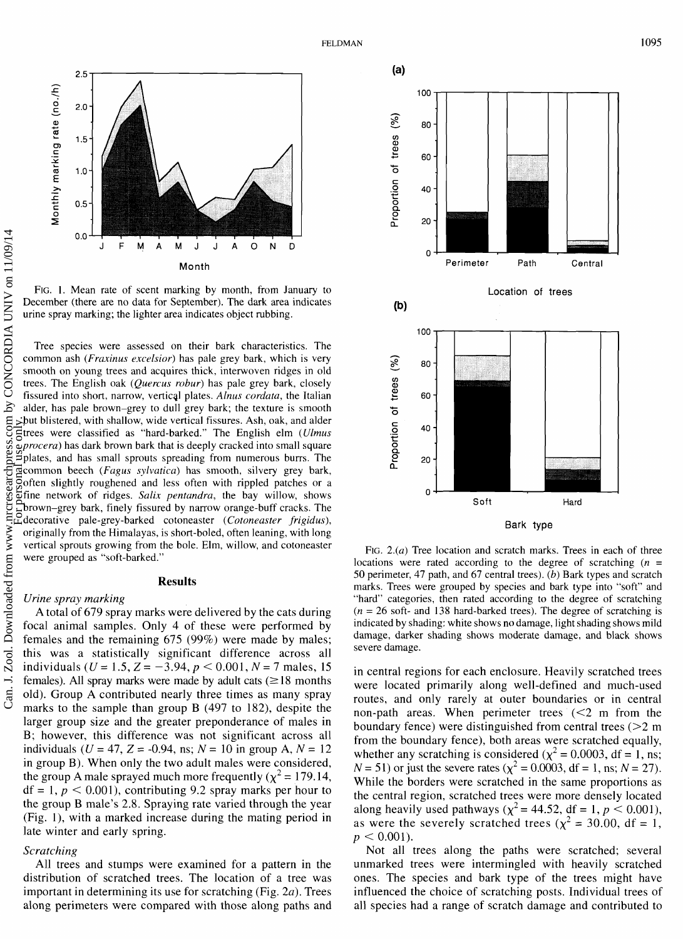

FIG. 1. Mean rate of scent marking by month, from January to December (there are no data for September). The dark area indicates urine spray marking; the lighter area indicates object rubbing.

Tree species were assessed on their bark characteristics. The common ash (*Fraxinus excelsior*) has pale grey bark, which is very smooth on young trees and acquires thick, interwoven ridges in old trees. The English oak (Quercus robur) has pale grey bark, closely fissured into short, narrow, vertical plates. Alnus cordata, the Italian alder, has pale brown-grey to dull grey bark; the texture is smooth but blistered, with shallow, wide vertical fissures. Ash, oak, and alder gives were classified as "hard-barked." The English elm (*Ulmus*) trees were classified as "hard-barked." The English elm (Ulmus procera) has dark brown bark that is deeply cracked into small square plates, and has small sprouts spreading from numerous burrs. The common beech (Fugus sylvatica) has smooth, silvery grey bark, often slightly roughened and less often with rippled patches or a fine network of ridges. Salix pentandra, the bay willow, shows brown-grey bark, finely fissured by narrow orange-buff cracks. The decorative pale-grey-barked cotoneaster (Cotoneaster frigidus), originally from the Himalayas, is short-boled, often leaning, with long vertical sprouts growing from the bole. Elm, willow, and cotoneaster were grouped as "soft-barked."

## **Results**

### *Urine spray marking*

A total of 679 spray marks were delivered by the cats during focal animal samples. Only 4 of these were performed by females and the remaining 675 (99%) were made by males; this was a statistically significant difference across all individuals  $(U = 1.5, Z = -3.94, p < 0.001, N = 7$  males, 15 females). All spray marks were made by adult cats  $(\geq 18 \text{ months})$ old). Group A contributed nearly three times as many spray marks to the sample than group B (497 to 182), despite the larger group size and the greater preponderance of males in B; however, this difference was not significant across all individuals ( $U = 47$ ,  $Z = -0.94$ , ns;  $N = 10$  in group A,  $N = 12$ in group B). When only the two adult males were considered, the group A male sprayed much more frequently ( $\chi^2$  = 179.14,  $df = 1, p < 0.001$ , contributing 9.2 spray marks per hour to the group B male's 2.8. Spraying rate varied through the year (Fig. l), with a marked increase during the mating period in late winter and early spring.

## *Scratching*

All trees and stumps were examined for a pattern in the distribution of scratched trees. The location of a tree was important in determining its use for scratching (Fig.  $2a$ ). Trees along perimeters were compared with those along paths and



FIG.  $2(a)$  Tree location and scratch marks. Trees in each of three locations were rated according to the degree of scratching  $(n =$ *50* perimeter, 47 path, and 67 central trees). *(b)* Bark types and scratch marks. Trees were grouped by species and bark type into "soft" and "hard" categories, then rated according to the degree of scratching  $(n = 26 \text{ soft-}$  and 138 hard-barked trees). The degree of scratching is indicated by shading: white shows no damage, light shading shows mild damage, darker shading shows moderate damage, and black shows severe damage.

in central regions for each enclosure. Heavily scratched trees were located primarily along well-defined and much-used routes, and only rarely at outer boundaries or in central non-path areas. When perimeter trees  $\leq 2$  m from the boundary fence) were distinguished from central trees  $(22 \text{ m})$ from the boundary fence), both areas were scratched equally, whether any scratching is considered ( $\chi^2$  = 0.0003, df = 1, ns;  $N = 51$ ) or just the severe rates ( $\chi^2 = 0.0003$ , df = 1, ns;  $N = 27$ ). While the borders were scratched in the same proportions as the central region, scratched trees were more densely located along heavily used pathways  $(\chi^2 = 44.52, df = 1, p < 0.001)$ , as were the severely scratched trees  $(x^2 = 30.00, df = 1,$  $p < 0.001$ ).

Not all trees along the paths were scratched; several unmarked trees were intermingled with heavily scratched ones. The species and bark type of the trees might have influenced the choice of scratching posts. Individual trees of all species had a range of scratch damage and contributed to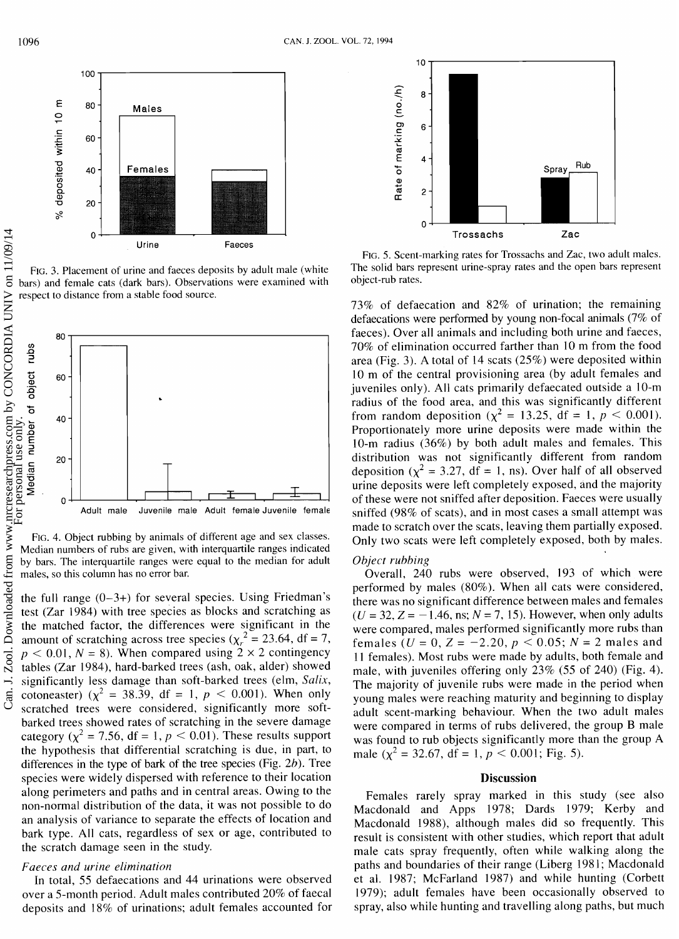

FIG. 3. Placement of urine and faeces deposits by adult male (white respect to distance from a stable food source.



FIG. 4. Object rubbing by animals of different age and sex classes. Median numbers of rubs are given, with interquartile ranges indicated by bars. The interquartile ranges were equal to the median for adult males, so this column has no error bar.

the full range  $(0-3+)$  for several species. Using Friedman's test (Zar 1984) with tree species as blocks and scratching as the matched factor, the differences were significant in the amount of scratching across tree species ( $\chi_r^2 = 23.64$ , df = 7,  $p < 0.01$ ,  $N = 8$ ). When compared using  $2 \times 2$  contingency tables (Zar 1984), hard-barked trees (ash, oak, alder) showed significantly less damage than soft-barked trees (elm, Salix, cotoneaster) ( $\chi^2$  = 38.39, df = 1,  $p$  < 0.001). When only scratched trees were considered, significantly more softbarked trees showed rates of scratching in the severe damage category ( $\chi^2$  = 7.56, df = 1,  $p$  < 0.01). These results support the hypothesis that differential scratching is due, in part, to differences in the type of bark of the tree species (Fig. 2b). Tree species were widely dispersed with reference to their location along perimeters and paths and in central areas. Owing to the non-normal distribution of the data, it was not possible to do an analysis of variance to separate the effects of location and bark type. All cats, regardless of sex or age, contributed to the scratch damage seen in the study.

### Faeces and urine elimination

In total, 55 defaecations and 44 urinations were observed over a 5-month period. Adult males contributed 20% of faecal deposits and 18% of urinations; adult females accounted for



FIG. 5. Scent-marking rates for Trossachs and Zac, two adult males. The solid bars represent urine-spray rates and the open bars represent object-rub rates.

73% of defaecation and 82% of urination; the remaining defaecations were performed by young non-focal animals (7% of faeces). Over all animals and including both urine and faeces, 70% of elimination occurred farther than 10 m from the food area (Fig. 3). A total of 14 scats (25%) were deposited within 10 m of the central provisioning area (by adult females and juveniles only). All cats primarily defaecated outside a 10-m radius of the food area, and this was significantly different from random deposition ( $\chi^2 = 13.25$ , df = 1,  $p < 0.001$ ). Proportionately more urine deposits were made within the 10-m radius (36%) by both adult males and females. This distribution was not significantly different from random deposition ( $\chi^2$  = 3.27, df = 1, ns). Over half of all observed urine deposits were left completely exposed, and the majority of these were not sniffed after deposition. Faeces were usually sniffed (98% of scats), and in most cases a small attempt was made to scratch over the scats, leaving them partially exposed. Only two scats were left completely exposed, both by males.

### Object rubbing

Overall, 240 rubs were observed, 193 of which were performed by males (80%). When all cats were considered, there was no significant difference between males and females  $(U = 32, Z = -1.46, \text{ns}; N = 7, 15)$ . However, when only adults were compared, males performed significantly more rubs than females ( $U = 0$ ,  $Z = -2.20$ ,  $p < 0.05$ ;  $N = 2$  males and 11 females). Most rubs were made by adults, both female and male, with juveniles offering only 23% (55 of 240) (Fig. 4). The majority of juvenile rubs were made in the period when young males were reaching maturity and beginning to display adult scent-marking behaviour. When the two adult males were compared in terms of rubs delivered, the group B male was found to rub objects significantly more than the group A male ( $\chi^2$  = 32.67, df = 1,  $p < 0.001$ ; Fig. 5).

## **Discussion**

Females rarely spray marked in this study (see also Macdonald and Apps 1978; Dards 1979; Kerby and Macdonald 1988), although males did so frequently. This result is consistent with other studies, which report that adult male cats spray frequently, often while walking along the paths and boundaries of their range (Liberg 1981; Macdonald et al. 1987; McFarland 1987) and while hunting (Corbett 1979); adult females have been occasionally observed to spray, also while hunting and travelling along paths, but much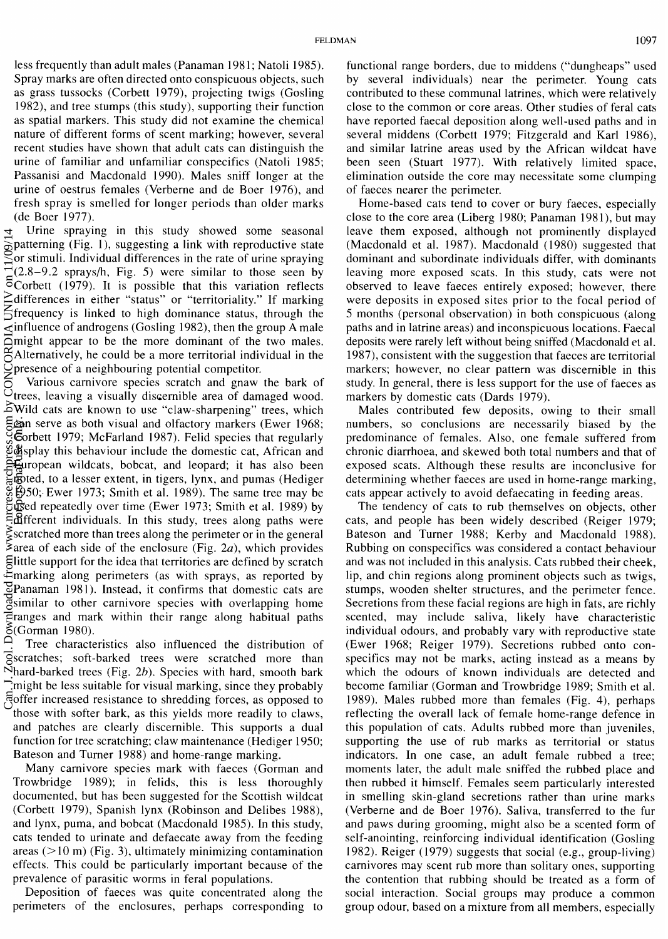less frequently than adult males (Panaman 1981; Natoli 1985). Spray marks are often directed onto conspicuous objects, such as grass tussocks (Corbett 1979), projecting twigs (Gosling 1982), and tree stumps (this study), supporting their function as spatial markers. This study did not examine the chemical nature of different forms of scent marking; however, several recent studies have shown that adult cats can distinguish the urine of familiar and unfamiliar conspecifics (Natoli 1985; Passanisi and Macdonald 1990). Males sniff longer at the urine of oestrus females (Verberne and de Boer 1976), and fresh spray is smelled for longer periods than older marks (de Boer 1977).

Urine spraying in this study showed some seasonal patterning (Fig. l), suggesting a link with reproductive state or stimuli. Individual differences in the rate of urine spraying  $(2.8-9.2 \text{ sprays/h}, \text{Fig. 5})$  were similar to those seen by  $\overline{5}$ Corbett (1979). It is possible that this variation reflects differences in either "status" or "territoriality." If marking frequency is linked to high dominance status, through the  $\le$  influence of androgens (Gosling 1982), then the group A male might appear to be the more dominant of the two males. Alternatively, he could be a more territorial individual in the presence of a neighbouring potential competitor.

Various carnivore species scratch and gnaw the bark of trees, leaving a visually discernible area of damaged wood. Wild cats are known to use "claw-sharpening" trees, which can serve as both visual and olfactory markers (Ewer 1968; Corbett 1979; McFarland 1987). Felid species that regularly display this behaviour include the domestic cat, African and European wildcats, bobcat, and leopard; it has also been Foted, to a lesser extent, in tigers, lynx, and pumas (Hediger 1950;- Ewer 1973; Smith et al. 1989). The same tree may be used repeatedly over time (Ewer 1973; Smith et al. 1989) by  $\exists$  different individuals. In this study, trees along paths were  $\frac{2}{5}$  scratched more than trees along the perimeter or in the general  $\epsilon$ area of each side of the enclosure (Fig. 2a), which provides little support for the idea that territories are defined by scratch marking along perimeters (as with sprays, as reported by Panaman 1981). Instead, it confirms that domestic cats are imilar to other carnivore species with overlapping home ranges and mark within their range along habitual paths (Gorman 1 980). CONOMOMONOON Downloaded from www.nrcress.com by Concordina Pasir and Concordinated from Pasir and Concordinated from Pasir and Concordinated from Pasir and Concordinated from Pasir and Concordinated from Pasir and Concord

Ă Tree characteristics also influenced the distribution of scratches; soft-barked trees were scratched more than Nhard-barked trees (Fig.  $2b$ ). Species with hard, smooth bark  $\Gamma$ might be less suitable for visual marking, since they probably offer increased resistance to shredding forces, as opposed to those with softer bark, as this yields more readily to claws, and patches are clearly discernible. This supports a dual function for tree scratching; claw maintenance (Hediger 1950; Bateson and Turner 1988) and home-range marking.

Many carnivore species mark with faeces (Gorman and Trowbridge 1989); in felids, this is less thoroughly documented, but has been suggested for the Scottish wildcat (Corbett 1979), Spanish lynx (Robinson and Delibes 1988), and lynx, puma, and bobcat (Macdonald 1985). In this study, cats tended to urinate and defaecate away from the feeding areas  $(>10 \text{ m})$  (Fig. 3), ultimately minimizing contamination effects. This could be particularly important because of the prevalence of parasitic worms in feral populations.

Deposition of faeces was quite concentrated along the perimeters of the enclosures, perhaps corresponding to

functional range borders, due to middens ("dungheaps" used by several individuals) near the perimeter. Young cats contributed to these communal latrines, which were relatively close to the common or core areas. Other studies of feral cats have reported faecal deposition along well-used paths and in several middens (Corbett 1979; Fitzgerald and Karl 1986), and similar latrine areas used by the African wildcat have been seen (Stuart 1977). With relatively limited space, elimination outside the core may necessitate some clumping of faeces nearer the perimeter.

Home-based cats tend to cover or bury faeces, especially close to the core area (Liberg 1980; Panaman 1981), but may leave them exposed, although not prominently displayed (Macdonald et al. 1987). Macdonald (1980) suggested that dominant and subordinate individuals differ, with dominants leaving more exposed scats. In this study, cats were not observed to leave faeces entirely exposed; however, there were deposits in exposed sites prior to the focal period of 5 months (personal observation) in both conspicuous (along paths and in latrine areas) and inconspicuous locations. Faecal deposits were rarely left without being sniffed (Macdonald et al. 1987), consistent with the suggestion that faeces are territorial markers; however, no clear pattern was discernible in this study. In general, there is less support for the use of faeces as markers by domestic cats (Dards 1979).

Males contributed few deposits, owing to their small numbers, so conclusions are necessarily biased by the predominance of females. Also, one female suffered from chronic diarrhoea, and skewed both total numbers and that of exposed scats. Although these results are inconclusive for determining whether faeces are used in home-range marking, cats appear actively to avoid defaecating in feeding areas.

The tendency of cats to rub themselves on objects, other cats, and people has been widely described (Reiger 1979; Bateson and Turner 1988; Kerby and Macdonald 1988). Rubbing on conspecifics was considered a contact ,behaviour and was not included in this analysis. Cats rubbed their cheek, lip, and chin regions along prominent objects such as twigs, stumps, wooden shelter structures, and the perimeter fence. Secretions from these facial regions are high in fats, are richly scented, may include saliva, likely have characteristic individual odours, and probably vary with reproductive state (Ewer 1968; Reiger 1979). Secretions rubbed onto conspecifics may not be marks, acting instead as a means by which the odours of known individuals are detected and become familiar (Gorman and Trowbridge 1989; Smith et al. 1989). Males rubbed more than females (Fig. 4), perhaps reflecting the overall lack of female home-range defence in this population of cats. Adults rubbed more than juveniles, supporting the use of rub marks as territorial or status indicators. In one case, an adult female rubbed a tree; moments later, the adult male sniffed the rubbed place and then rubbed it himself. Females seem particularly interested in smelling skin-gland secretions rather than urine marks (Verberne and de Boer 1976). Saliva, transferred to the fur and paws during grooming, might also be a scented form of self-anointing, reinforcing individual identification (Gosling 1982). Reiger (1979) suggests that social (e.g., group-living) carnivores may scent rub more than solitary ones, supporting the contention that rubbing should be treated as a form of social interaction. Social groups may produce a common group odour, based on a mixture from all members, especially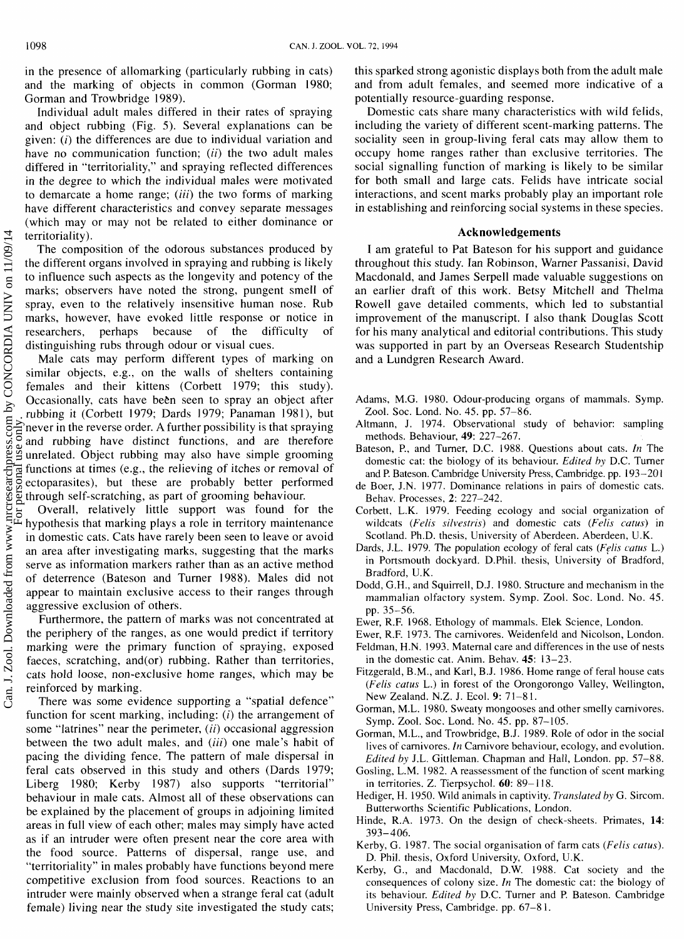and the marking of objects in common (Gorman 1980; Gorman and Trowbridge 1989).

Individual adult males differed in their rates of spraying and object rubbing (Fig. 5). Several explanations can be given:  $(i)$  the differences are due to individual variation and have no communication function;  $(ii)$  the two adult males differed in "territoriality," and spraying reflected differences in the degree to which the individual males were motivated to demarcate a home range; *(iii)* the two forms of marking have different characteristics and convey separate messages (which may or may not be related to either dominance or territoriality).

The composition of the odorous substances produced by the different organs involved in spraying and rubbing is likely to influence such aspects as the longevity and potency of the marks; observers have noted the strong, pungent smell of spray, even to the relatively insensitive human nose. Rub marks, however, have evoked little response or notice in researchers, perhaps because of the difficulty of distinguishing rubs through odour or visual cues.

Male cats may perform different types of marking on similar objects, e.g., on the walls of shelters containing females and their kittens (Corbett 1979; this study). Occasionally, cats have been seen to spray an object after rubbing it (Corbett 1979; Dards 1979; Panaman 198 l), but never in the reverse order. A further possibility is that spraying and rubbing have distinct functions, and are therefore unrelated. Object rubbing may also have simple grooming functions at times (e.g., the relieving of itches or removal of ectoparasites), but these are probably better performed through self-scratching, as part of grooming behaviour.

Overall, relatively little support was found for the hypothesis that marking plays a role in territory maintenance in domestic cats. Cats have rarely been seen to leave or avoid an area after investigating marks, suggesting that the marks serve as information markers rather than as an active method of deterrence (Bateson and Turner 1988). Males did not appear to maintain exclusive access to their ranges through aggressive exclusion of others.

Furthermore, the pattern of marks was not concentrated at the periphery of the ranges, as one would predict if territory marking were the primary function of spraying, exposed faeces, scratching, and(or) rubbing. Rather than territories, cats hold loose, non-exclusive home ranges, which may be reinforced by marking.

There was some evidence supporting a "spatial defence" function for scent marking, including: (*i*) the arrangement of some "latrines" near the perimeter, (ii) occasional aggression between the two adult males, and *(iii)* one male's habit of pacing the dividing fence. The pattern of male dispersal in feral cats observed in this study and others (Dards 1979; Liberg 1980; Kerby 1987) also supports "territorial" behaviour in male cats. Almost all of these observations can be explained by the placement of groups in adjoining limited areas in full view of each other; males may simply have acted as if an intruder were often present near the core area with the food source. Patterns of dispersal, range use, and "territoriality" in males probably have functions beyond mere competitive exclusion from food sources. Reactions to an intruder were mainly observed when a strange feral cat (adult female) living near the study site investigated the study cats;

in the presence of allomarking (particularly rubbing in cats) this sparked strong agonistic displays both from the adult male and from adult females, and seemed more indicative of a potentially resource-guarding response.

Domestic cats share many characteristics with wild felids, including the variety of different scent-marking patterns. The sociality seen in group-living feral cats may allow them to occupy home ranges rather than exclusive territories. The social signalling function of marking is likely to be similar for both small and large cats. Felids have intricate social interactions, and scent marks probably play an important role in establishing and reinforcing social systems in these species.

## **Acknowledgements**

I am grateful to Pat Bateson for his support and guidance throughout this study. Ian Robinson, Warner Passanisi, David Macdonald, and James Serpell made valuable suggestions on an earlier draft of this work. Betsy Mitchell and Thelma Rowel1 gave detailed comments, which led to substantial improvement of the manuscript. I also thank Douglas Scott for his many analytical and editorial contributions. This study was supported in part by an Overseas Research Studentship and a Lundgren Research Award.

Adams, M.G. 1980. Odour-producing organs of mammals. Symp. Zool. Soc. Lond. No. 45. pp. 57-86.

- Altmann, J. 1974. Observational study of behavior: sampling methods. Behaviour, 49: 227-267.
- Bateson, P., and Turner, D.C. 1988. Questions about cats. In The domestic cat: the biology of its behaviour. Edited by D.C. Turner and P. Bateson. Cambridge University Press, Cambridge. pp. 193-201
- de Boer, J.N. 1977. Dominance relations in pairs of domestic cats. Behav. Processes, **2:** 227-242.
- Corbett, L.K. 1979. Feeding ecology and social organization of wildcats (Felis silvestris) and domestic cats (Felis catus) in Scotland. Ph.D. thesis, University of Aberdeen. Aberdeen, U.K.
- Dards, J.L. 1979. The population ecology of feral cats (Felis catus L.) in Portsmouth dockyard. D.Phi1. thesis, University of Bradford, Bradford, U.K.
- Dodd, G.H., and Squirrell, D.J. 1980. Structure and mechanism in the mammalian olfactory system. Symp. Zool. Soc. Lond. No. 45. pp. 35-56.
- Ewer, R.F. 1968. Ethology of mammals. Elek Science, London.
- Ewer, R.F. 1973. The carnivores. Weidenfeld and Nicolson, London. Feldman, H.N. 1993. Maternal care and differences in the use of nests
- in the domestic cat. Anim. Behav. 45: 13-23. Fitzgerald, B.M., and Karl, B.J. 1986. Home range of feral house cats (Felis catus L.) in forest of the Orongorongo Valley, Wellington,
- New Zealand. N.Z. J. Ecol. 9: 71-8 1. Gorman, M.L. 1980. Sweaty mongooses and other smelly carnivores.
- Symp. Zool. Soc. Lond. No. 45. pp. 87-105. Gorman, M.L., and Trowbridge, B.J. 1989. Role of odor in the social lives of carnivores. In Carnivore behaviour, ecology, and evolution. Edited by J.L. Gittleman. Chapman and Hall, London. pp. 57-88.
- Gosling, L.M. 1982. A reassessment of the function of scent marking in territories. Z. Tierpsychol. **60:** 89- 1 18.
- Hediger, H. 1950. Wild animals in captivity. Translated by G. Sircom. Butterworths Scientific Publications, London.
- Hinde, R.A. 1973. On the design of check-sheets. Primates, 14: 393-406.
- Kerby, G. 1987. The social organisation of farm cats (Felis catus). D. Phil. thesis, Oxford University, Oxford, U.K.
- Kerby, G., and Macdonald, D.W. 1988. Cat society and the consequences of colony size. In The domestic cat: the biology of its behaviour. Edited by D.C. Turner and P. Bateson. Cambridge University Press, Cambridge. pp. 67-8 1.